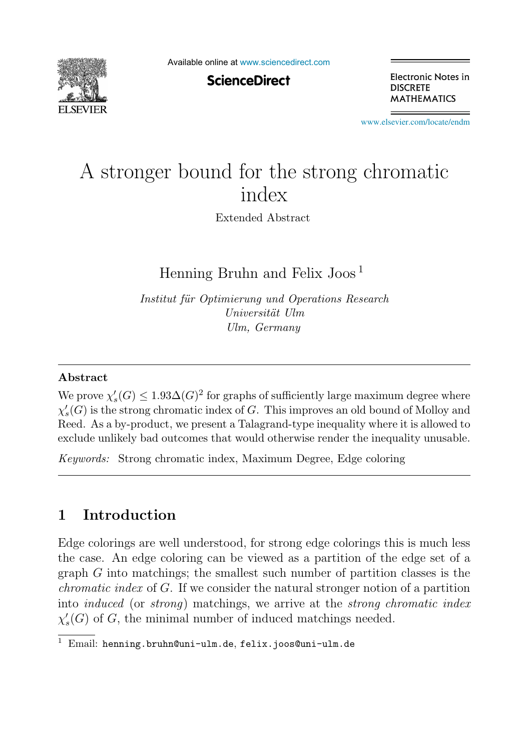

Available online at [www.sciencedirect.com](http://www.sciencedirect.com)

**ScienceDirect** 

Electronic Notes in **DISCRETE MATHEMATICS** 

[www.elsevier.com/locate/endm](http://www.elsevier.com/locate/endm)

# A stronger bound for the strong chromatic index

Extended Abstract

Henning Bruhn and Felix Joos <sup>1</sup>

*Institut f¨ur Optimierung und Operations Research Universit¨at Ulm Ulm, Germany*

#### **Abstract**

We prove  $\chi'_{s}(G) \leq 1.93\Delta(G)^2$  for graphs of sufficiently large maximum degree where  $\chi'_s(G)$  is the strong chromatic index of G. This improves an old bound of Molloy and Reed. As a by-product, we present a Talagrand-type inequality where it is allowed to exclude unlikely bad outcomes that would otherwise render the inequality unusable.

*Keywords:* Strong chromatic index, Maximum Degree, Edge coloring

# **1 Introduction**

Edge colorings are well understood, for strong edge colorings this is much less the case. An edge coloring can be viewed as a partition of the edge set of a graph G into matchings; the smallest such number of partition classes is the chromatic index of G. If we consider the natural stronger notion of a partition into *induced* (or *strong*) matchings, we arrive at the *strong chromatic index*  $\chi'_{s}(G)$  of G, the minimal number of induced matchings needed.

 $\overline{1}$  Email: henning.bruhn@uni-ulm.de, felix.joos@uni-ulm.de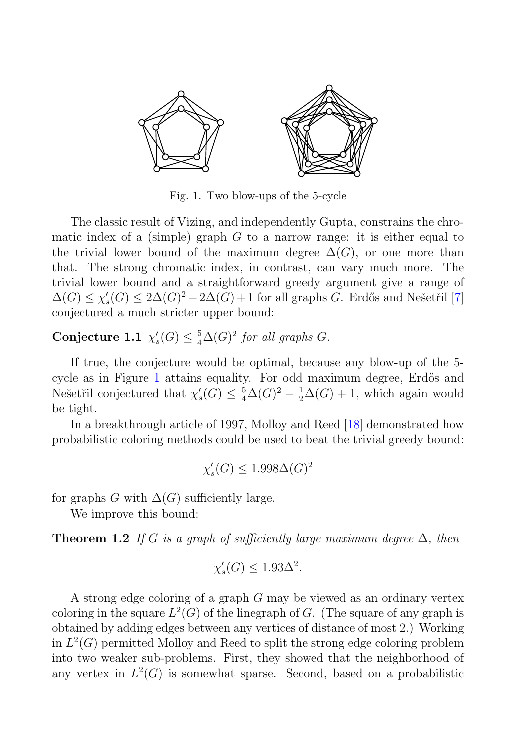

Fig. 1. Two blow-ups of the 5-cycle

The classic result of Vizing, and independently Gupta, constrains the chromatic index of a (simple) graph  $G$  to a narrow range: it is either equal to the trivial lower bound of the maximum degree  $\Delta(G)$ , or one more than that. The strong chromatic index, in contrast, can vary much more. The trivial lower bound and a straightforward greedy argument give a range of  $\Delta(G) \leq \chi'_{s}(G) \leq 2\Delta(G)^{2} - 2\Delta(G) + 1$  for all graphs G. Erdős and Nešetřil [7] conjectured a much stricter upper bound:

**Conjecture 1.1**  $\chi'_{s}(G) \leq \frac{5}{4}\Delta(G)^2$  for all graphs G.

If true, the conjecture would be optimal, because any blow-up of the 5 cycle as in Figure 1 attains equality. For odd maximum degree, Erdős and Nešetřil conjectured that  $\chi'_{s}(G) \leq \frac{5}{4}\Delta(G)^{2} - \frac{1}{2}\Delta(G) + 1$ , which again would be tight.

In a breakthrough article of 1997, Molloy and Reed [18] demonstrated how probabilistic coloring methods could be used to beat the trivial greedy bound:

$$
\chi_s'(G) \le 1.998\Delta(G)^2
$$

for graphs G with  $\Delta(G)$  sufficiently large.

We improve this bound:

**Theorem 1.2** If G is a graph of sufficiently large maximum degree  $\Delta$ , then

$$
\chi_s'(G) \le 1.93\Delta^2.
$$

A strong edge coloring of a graph G may be viewed as an ordinary vertex coloring in the square  $L^2(G)$  of the linegraph of G. (The square of any graph is obtained by adding edges between any vertices of distance of most 2.) Working in  $L^2(G)$  permitted Molloy and Reed to split the strong edge coloring problem into two weaker sub-problems. First, they showed that the neighborhood of any vertex in  $L^2(G)$  is somewhat sparse. Second, based on a probabilistic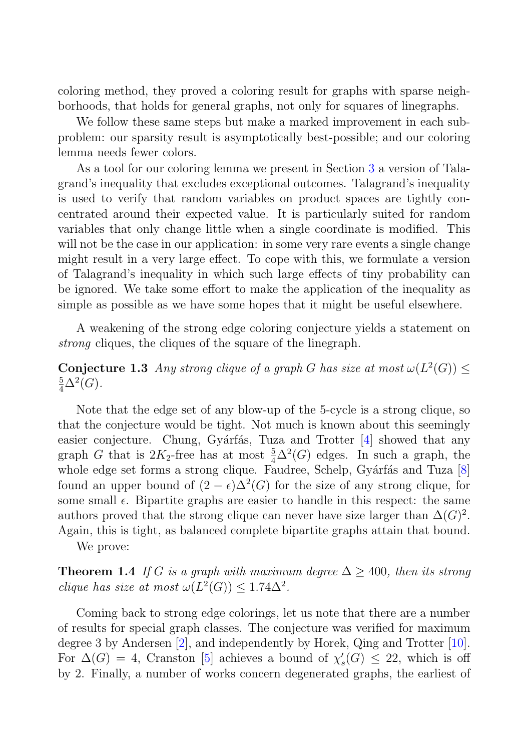coloring method, they proved a coloring result for graphs with sparse neighborhoods, that holds for general graphs, not only for squares of linegraphs.

We follow these same steps but make a marked improvement in each subproblem: our sparsity result is asymptotically best-possible; and our coloring lemma needs fewer colors.

As a tool for our coloring lemma we present in Section 3 a version of Talagrand's inequality that excludes exceptional outcomes. Talagrand's inequality is used to verify that random variables on product spaces are tightly concentrated around their expected value. It is particularly suited for random variables that only change little when a single coordinate is modified. This will not be the case in our application: in some very rare events a single change might result in a very large effect. To cope with this, we formulate a version of Talagrand's inequality in which such large effects of tiny probability can be ignored. We take some effort to make the application of the inequality as simple as possible as we have some hopes that it might be useful elsewhere.

A weakening of the strong edge coloring conjecture yields a statement on strong cliques, the cliques of the square of the linegraph.

**Conjecture 1.3** Any strong clique of a graph G has size at most  $\omega(L^2(G)) \leq$  $\frac{5}{4}\Delta^2(G)$ .

Note that the edge set of any blow-up of the 5-cycle is a strong clique, so that the conjecture would be tight. Not much is known about this seemingly easier conjecture. Chung, Gyárfás, Tuza and Trotter  $[4]$  showed that any graph G that is  $2K_2$ -free has at most  $\frac{5}{4}\Delta^2(G)$  edges. In such a graph, the whole edge set forms a strong clique. Faudree, Schelp, Gyárfás and Tuza [8] found an upper bound of  $(2 - \epsilon)\Delta^2(G)$  for the size of any strong clique, for some small  $\epsilon$ . Bipartite graphs are easier to handle in this respect: the same authors proved that the strong clique can never have size larger than  $\Delta(G)^2$ . Again, this is tight, as balanced complete bipartite graphs attain that bound.

We prove:

**Theorem 1.4** If G is a graph with maximum degree  $\Delta \geq 400$ , then its strong clique has size at most  $\omega(L^2(G)) \leq 1.74\Delta^2$ .

Coming back to strong edge colorings, let us note that there are a number of results for special graph classes. The conjecture was verified for maximum degree 3 by Andersen [2], and independently by Horek, Qing and Trotter [10]. For  $\Delta(G) = 4$ , Cranston [5] achieves a bound of  $\chi'_{s}(G) \leq 22$ , which is off by 2. Finally, a number of works concern degenerated graphs, the earliest of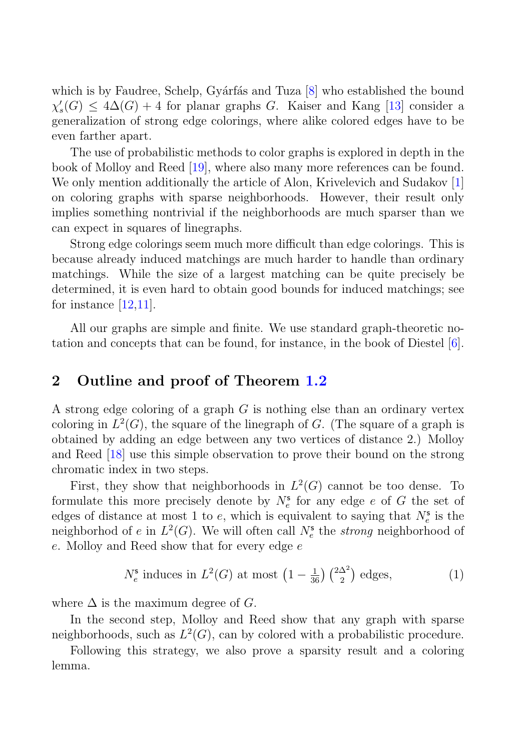which is by Faudree, Schelp, Gyárfás and Tuza  $[8]$  who established the bound  $\chi'_{s}(G) \leq 4\Delta(G) + 4$  for planar graphs G. Kaiser and Kang [13] consider a generalization of strong edge colorings, where alike colored edges have to be even farther apart.

The use of probabilistic methods to color graphs is explored in depth in the book of Molloy and Reed [19], where also many more references can be found. We only mention additionally the article of Alon, Krivelevich and Sudakov [1] on coloring graphs with sparse neighborhoods. However, their result only implies something nontrivial if the neighborhoods are much sparser than we can expect in squares of linegraphs.

Strong edge colorings seem much more difficult than edge colorings. This is because already induced matchings are much harder to handle than ordinary matchings. While the size of a largest matching can be quite precisely be determined, it is even hard to obtain good bounds for induced matchings; see for instance  $[12,11]$ .

All our graphs are simple and finite. We use standard graph-theoretic notation and concepts that can be found, for instance, in the book of Diestel [6].

# **2 Outline and proof of Theorem 1.2**

A strong edge coloring of a graph  $G$  is nothing else than an ordinary vertex coloring in  $L^2(G)$ , the square of the linegraph of G. (The square of a graph is obtained by adding an edge between any two vertices of distance 2.) Molloy and Reed [18] use this simple observation to prove their bound on the strong chromatic index in two steps.

First, they show that neighborhoods in  $L^2(G)$  cannot be too dense. To formulate this more precisely denote by  $N_e^s$  for any edge e of G the set of edges of distance at most 1 to  $e$ , which is equivalent to saying that  $N_e^s$  is the neighborhod of e in  $L^2(G)$ . We will often call  $N_e^s$  the *strong* neighborhood of e. Molloy and Reed show that for every edge e

$$
N_e^{\mathsf{s}} \text{ induces in } L^2(G) \text{ at most } \left(1 - \frac{1}{36}\right) \binom{2\Delta^2}{2} \text{ edges,}
$$
 (1)

where  $\Delta$  is the maximum degree of G.

In the second step, Molloy and Reed show that any graph with sparse neighborhoods, such as  $L^2(G)$ , can by colored with a probabilistic procedure.

Following this strategy, we also prove a sparsity result and a coloring lemma.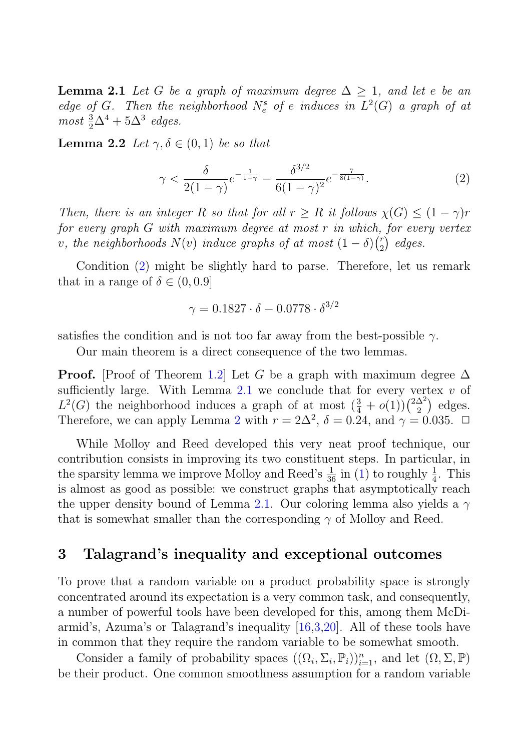**Lemma 2.1** Let G be a graph of maximum degree  $\Delta > 1$ , and let e be an edge of G. Then the neighborhood  $N_e^s$  of e induces in  $L^2(G)$  a graph of at most  $\frac{3}{2}\Delta^4 + 5\Delta^3$  edges.

**Lemma 2.2** Let  $\gamma, \delta \in (0,1)$  be so that

$$
\gamma < \frac{\delta}{2(1-\gamma)} e^{-\frac{1}{1-\gamma}} - \frac{\delta^{3/2}}{6(1-\gamma)^2} e^{-\frac{7}{8(1-\gamma)}}. \tag{2}
$$

Then, there is an integer R so that for all  $r \geq R$  it follows  $\chi(G) \leq (1 - \gamma)r$ for every graph  $G$  with maximum degree at most  $r$  in which, for every vertex v, the neighborhoods  $N(v)$  induce graphs of at most  $(1 - \delta) \binom{r}{2}$  $i<sub>2</sub>$ ) edges.

Condition (2) might be slightly hard to parse. Therefore, let us remark that in a range of  $\delta \in (0, 0.9]$ 

$$
\gamma = 0.1827 \cdot \delta - 0.0778 \cdot \delta^{3/2}
$$

satisfies the condition and is not too far away from the best-possible  $\gamma$ .

Our main theorem is a direct consequence of the two lemmas.

**Proof.** [Proof of Theorem 1.2] Let G be a graph with maximum degree  $\Delta$ sufficiently large. With Lemma  $2.1$  we conclude that for every vertex  $v$  of  $L^2(G)$  the neighborhood induces a graph of at most  $(\frac{3}{4} + o(1))\binom{2\Delta^2}{2}$  $\binom{\Delta^2}{2}$  edges. Therefore, we can apply Lemma 2 with  $r = 2\Delta^2$ ,  $\delta = 0.24$ , and  $\gamma = 0.035$ .  $\Box$ 

While Molloy and Reed developed this very neat proof technique, our contribution consists in improving its two constituent steps. In particular, in the sparsity lemma we improve Molloy and Reed's  $\frac{1}{36}$  in (1) to roughly  $\frac{1}{4}$ . This is almost as good as possible: we construct graphs that asymptotically reach the upper density bound of Lemma 2.1. Our coloring lemma also yields a  $\gamma$ that is somewhat smaller than the corresponding  $\gamma$  of Molloy and Reed.

### **3 Talagrand's inequality and exceptional outcomes**

To prove that a random variable on a product probability space is strongly concentrated around its expectation is a very common task, and consequently, a number of powerful tools have been developed for this, among them McDiarmid's, Azuma's or Talagrand's inequality [16,3,20]. All of these tools have in common that they require the random variable to be somewhat smooth.

Consider a family of probability spaces  $((\Omega_i, \Sigma_i, \mathbb{P}_i))_{i=1}^n$ , and let  $(\Omega, \Sigma, \mathbb{P})$ be their product. One common smoothness assumption for a random variable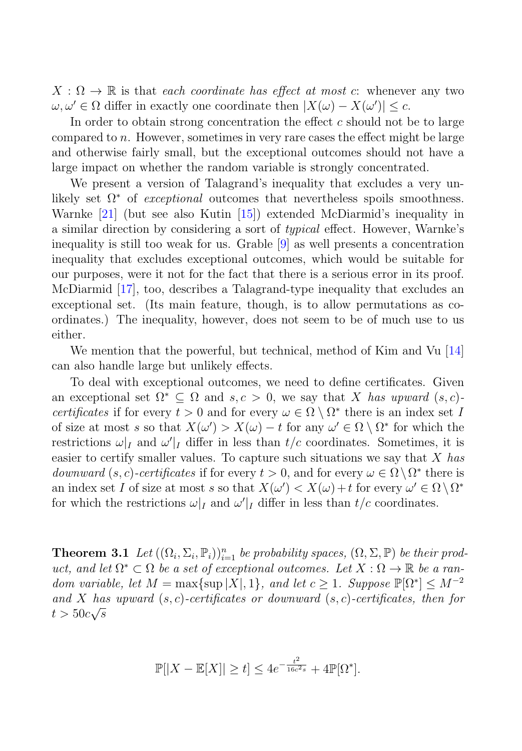$X:\Omega\to\mathbb{R}$  is that each coordinate has effect at most c: whenever any two  $\omega, \omega' \in \Omega$  differ in exactly one coordinate then  $|X(\omega) - X(\omega')| \leq c$ .

In order to obtain strong concentration the effect  $c$  should not be to large compared to n. However, sometimes in very rare cases the effect might be large and otherwise fairly small, but the exceptional outcomes should not have a large impact on whether the random variable is strongly concentrated.

We present a version of Talagrand's inequality that excludes a very unlikely set  $\Omega^*$  of *exceptional* outcomes that nevertheless spoils smoothness. Warnke [21] (but see also Kutin [15]) extended McDiarmid's inequality in a similar direction by considering a sort of typical effect. However, Warnke's inequality is still too weak for us. Grable [9] as well presents a concentration inequality that excludes exceptional outcomes, which would be suitable for our purposes, were it not for the fact that there is a serious error in its proof. McDiarmid [17], too, describes a Talagrand-type inequality that excludes an exceptional set. (Its main feature, though, is to allow permutations as coordinates.) The inequality, however, does not seem to be of much use to us either.

We mention that the powerful, but technical, method of Kim and Vu [14] can also handle large but unlikely effects.

To deal with exceptional outcomes, we need to define certificates. Given an exceptional set  $\Omega^* \subseteq \Omega$  and  $s, c > 0$ , we say that X has upward  $(s, c)$ certificates if for every  $t > 0$  and for every  $\omega \in \Omega \setminus \Omega^*$  there is an index set I of size at most s so that  $X(\omega') > X(\omega) - t$  for any  $\omega' \in \Omega \setminus \Omega^*$  for which the restrictions  $\omega|_I$  and  $\omega'|_I$  differ in less than  $t/c$  coordinates. Sometimes, it is easier to certify smaller values. To capture such situations we say that  $X$  has downward  $(s, c)$ -certificates if for every  $t > 0$ , and for every  $\omega \in \Omega \setminus \Omega^*$  there is an index set I of size at most s so that  $X(\omega') < X(\omega) + t$  for every  $\omega' \in \Omega \setminus \Omega^*$ for which the restrictions  $\omega|_I$  and  $\omega'|_I$  differ in less than  $t/c$  coordinates.

**Theorem 3.1** Let  $((\Omega_i, \Sigma_i, \mathbb{P}_i))_{i=1}^n$  be probability spaces,  $(\Omega, \Sigma, \mathbb{P})$  be their product, and let  $\Omega^* \subset \Omega$  be a set of exceptional outcomes. Let  $X : \Omega \to \mathbb{R}$  be a random variable, let  $M = \max\{\sup |X|, 1\}$ , and let  $c \geq 1$ . Suppose  $\mathbb{P}[\Omega^*] \leq M^{-2}$ and X has upward  $(s, c)$ -certificates or downward  $(s, c)$ -certificates, then for  $t > 50c\sqrt{s}$ 

$$
\mathbb{P}[|X - \mathbb{E}[X]| \ge t] \le 4e^{-\frac{t^2}{16c^2s}} + 4\mathbb{P}[\Omega^*].
$$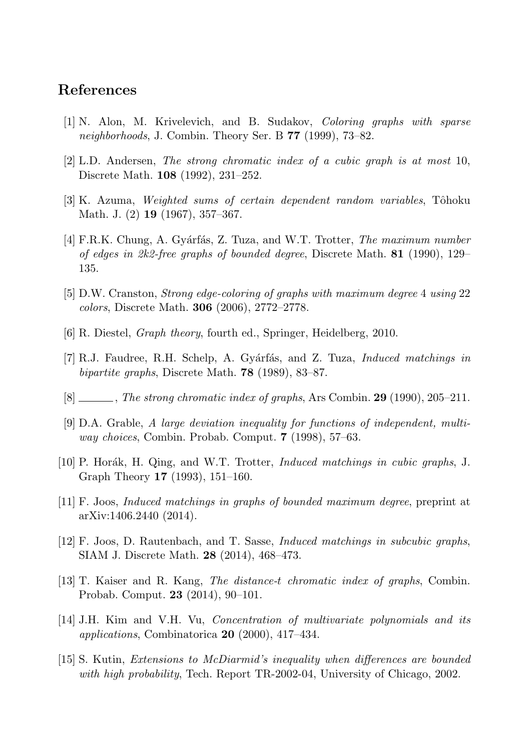## **References**

- [1] N. Alon, M. Krivelevich, and B. Sudakov, *Coloring graphs with sparse neighborhoods*, J. Combin. Theory Ser. B **77** (1999), 73–82.
- [2] L.D. Andersen, *The strong chromatic index of a cubic graph is at most* 10, Discrete Math. **108** (1992), 231–252.
- [3] K. Azuma, *Weighted sums of certain dependent random variables*, Tôhoku Math. J. (2) **19** (1967), 357–367.
- [4] F.R.K. Chung, A. Gy´arf´as, Z. Tuza, and W.T. Trotter, *The maximum number of edges in 2k2-free graphs of bounded degree*, Discrete Math. **81** (1990), 129– 135.
- [5] D.W. Cranston, *Strong edge-coloring of graphs with maximum degree* 4 *using* 22 *colors*, Discrete Math. **306** (2006), 2772–2778.
- [6] R. Diestel, *Graph theory*, fourth ed., Springer, Heidelberg, 2010.
- [7] R.J. Faudree, R.H. Schelp, A. Gy´arf´as, and Z. Tuza, *Induced matchings in bipartite graphs*, Discrete Math. **78** (1989), 83–87.
- [8] , *The strong chromatic index of graphs*, Ars Combin. **29** (1990), 205–211.
- [9] D.A. Grable, *A large deviation inequality for functions of independent, multiway choices*, Combin. Probab. Comput. **7** (1998), 57–63.
- [10] P. Hor´ak, H. Qing, and W.T. Trotter, *Induced matchings in cubic graphs*, J. Graph Theory **17** (1993), 151–160.
- [11] F. Joos, *Induced matchings in graphs of bounded maximum degree*, preprint at arXiv:1406.2440 (2014).
- [12] F. Joos, D. Rautenbach, and T. Sasse, *Induced matchings in subcubic graphs*, SIAM J. Discrete Math. **28** (2014), 468–473.
- [13] T. Kaiser and R. Kang, *The distance-*t *chromatic index of graphs*, Combin. Probab. Comput. **23** (2014), 90–101.
- [14] J.H. Kim and V.H. Vu, *Concentration of multivariate polynomials and its applications*, Combinatorica **20** (2000), 417–434.
- [15] S. Kutin, *Extensions to McDiarmid's inequality when differences are bounded with high probability*, Tech. Report TR-2002-04, University of Chicago, 2002.